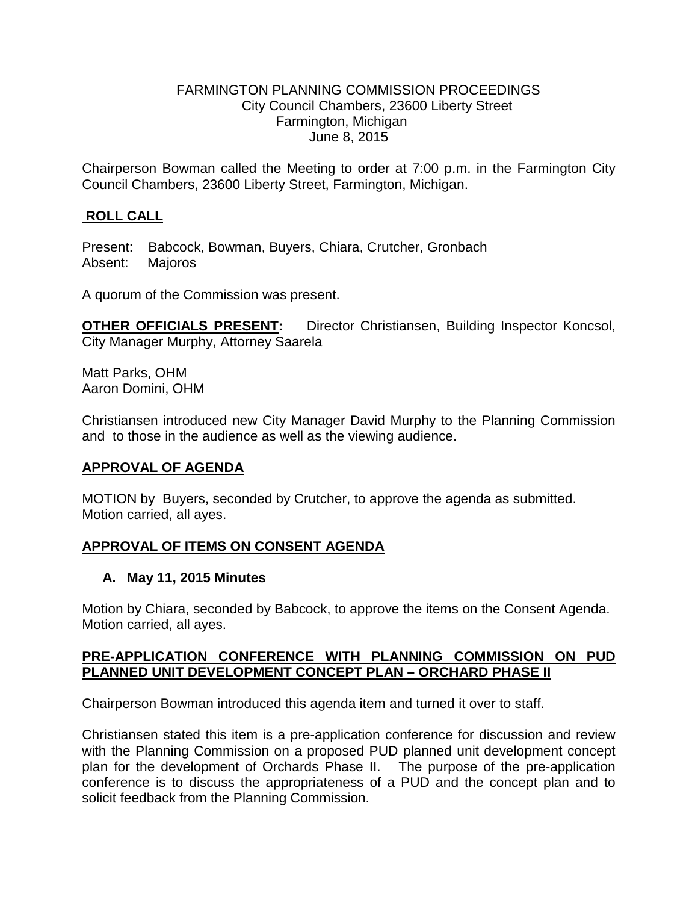#### FARMINGTON PLANNING COMMISSION PROCEEDINGS City Council Chambers, 23600 Liberty Street Farmington, Michigan June 8, 2015

Chairperson Bowman called the Meeting to order at 7:00 p.m. in the Farmington City Council Chambers, 23600 Liberty Street, Farmington, Michigan.

# **ROLL CALL**

Present: Babcock, Bowman, Buyers, Chiara, Crutcher, Gronbach Absent: Majoros

A quorum of the Commission was present.

**OTHER OFFICIALS PRESENT:** Director Christiansen, Building Inspector Koncsol, City Manager Murphy, Attorney Saarela

Matt Parks, OHM Aaron Domini, OHM

Christiansen introduced new City Manager David Murphy to the Planning Commission and to those in the audience as well as the viewing audience.

## **APPROVAL OF AGENDA**

MOTION by Buyers, seconded by Crutcher, to approve the agenda as submitted. Motion carried, all ayes.

## **APPROVAL OF ITEMS ON CONSENT AGENDA**

#### **A. May 11, 2015 Minutes**

Motion by Chiara, seconded by Babcock, to approve the items on the Consent Agenda. Motion carried, all ayes.

## **PRE-APPLICATION CONFERENCE WITH PLANNING COMMISSION ON PUD PLANNED UNIT DEVELOPMENT CONCEPT PLAN – ORCHARD PHASE II**

Chairperson Bowman introduced this agenda item and turned it over to staff.

Christiansen stated this item is a pre-application conference for discussion and review with the Planning Commission on a proposed PUD planned unit development concept plan for the development of Orchards Phase II. The purpose of the pre-application conference is to discuss the appropriateness of a PUD and the concept plan and to solicit feedback from the Planning Commission.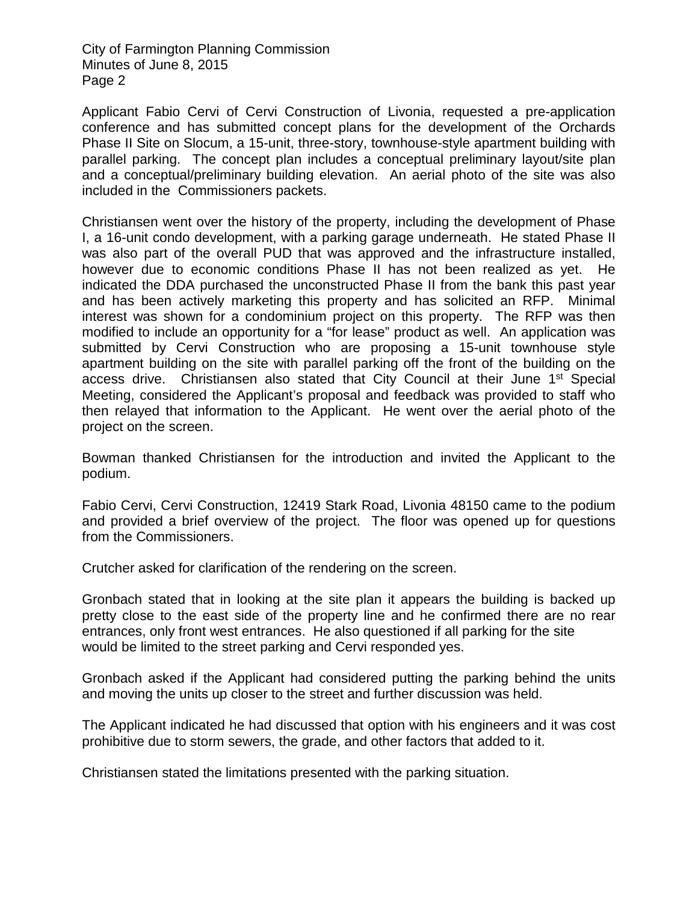Applicant Fabio Cervi of Cervi Construction of Livonia, requested a pre-application conference and has submitted concept plans for the development of the Orchards Phase II Site on Slocum, a 15-unit, three-story, townhouse-style apartment building with parallel parking. The concept plan includes a conceptual preliminary layout/site plan and a conceptual/preliminary building elevation. An aerial photo of the site was also included in the Commissioners packets.

Christiansen went over the history of the property, including the development of Phase I, a 16-unit condo development, with a parking garage underneath. He stated Phase II was also part of the overall PUD that was approved and the infrastructure installed, however due to economic conditions Phase II has not been realized as yet. He indicated the DDA purchased the unconstructed Phase II from the bank this past year and has been actively marketing this property and has solicited an RFP. Minimal interest was shown for a condominium project on this property. The RFP was then modified to include an opportunity for a "for lease" product as well. An application was submitted by Cervi Construction who are proposing a 15-unit townhouse style apartment building on the site with parallel parking off the front of the building on the access drive. Christiansen also stated that City Council at their June 1<sup>st</sup> Special Meeting, considered the Applicant's proposal and feedback was provided to staff who then relayed that information to the Applicant. He went over the aerial photo of the project on the screen.

Bowman thanked Christiansen for the introduction and invited the Applicant to the podium.

Fabio Cervi, Cervi Construction, 12419 Stark Road, Livonia 48150 came to the podium and provided a brief overview of the project. The floor was opened up for questions from the Commissioners.

Crutcher asked for clarification of the rendering on the screen.

Gronbach stated that in looking at the site plan it appears the building is backed up pretty close to the east side of the property line and he confirmed there are no rear entrances, only front west entrances. He also questioned if all parking for the site would be limited to the street parking and Cervi responded yes.

Gronbach asked if the Applicant had considered putting the parking behind the units and moving the units up closer to the street and further discussion was held.

The Applicant indicated he had discussed that option with his engineers and it was cost prohibitive due to storm sewers, the grade, and other factors that added to it.

Christiansen stated the limitations presented with the parking situation.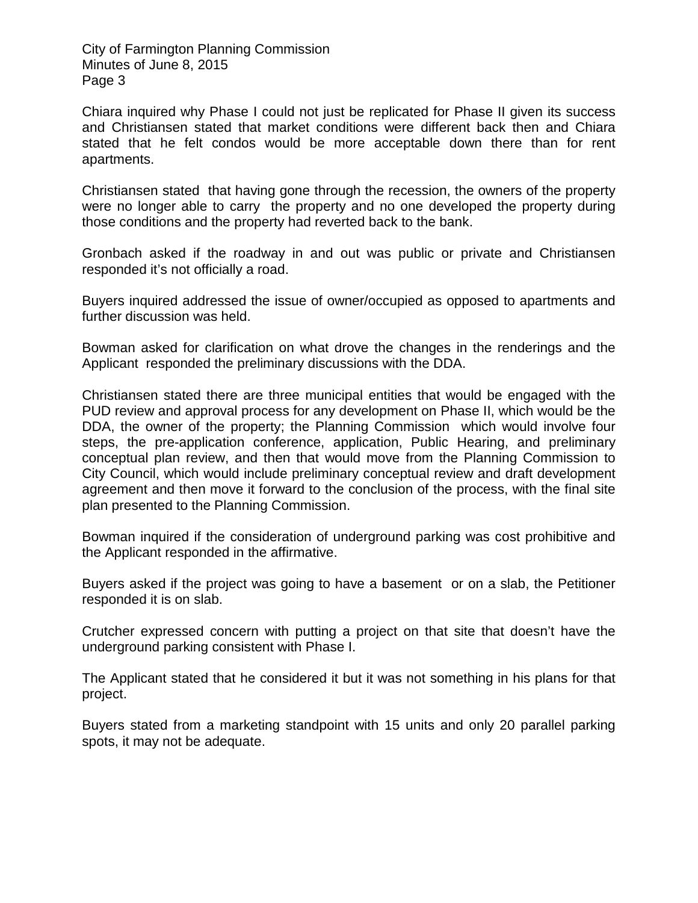Chiara inquired why Phase I could not just be replicated for Phase II given its success and Christiansen stated that market conditions were different back then and Chiara stated that he felt condos would be more acceptable down there than for rent apartments.

Christiansen stated that having gone through the recession, the owners of the property were no longer able to carry the property and no one developed the property during those conditions and the property had reverted back to the bank.

Gronbach asked if the roadway in and out was public or private and Christiansen responded it's not officially a road.

Buyers inquired addressed the issue of owner/occupied as opposed to apartments and further discussion was held.

Bowman asked for clarification on what drove the changes in the renderings and the Applicant responded the preliminary discussions with the DDA.

Christiansen stated there are three municipal entities that would be engaged with the PUD review and approval process for any development on Phase II, which would be the DDA, the owner of the property; the Planning Commission which would involve four steps, the pre-application conference, application, Public Hearing, and preliminary conceptual plan review, and then that would move from the Planning Commission to City Council, which would include preliminary conceptual review and draft development agreement and then move it forward to the conclusion of the process, with the final site plan presented to the Planning Commission.

Bowman inquired if the consideration of underground parking was cost prohibitive and the Applicant responded in the affirmative.

Buyers asked if the project was going to have a basement or on a slab, the Petitioner responded it is on slab.

Crutcher expressed concern with putting a project on that site that doesn't have the underground parking consistent with Phase I.

The Applicant stated that he considered it but it was not something in his plans for that project.

Buyers stated from a marketing standpoint with 15 units and only 20 parallel parking spots, it may not be adequate.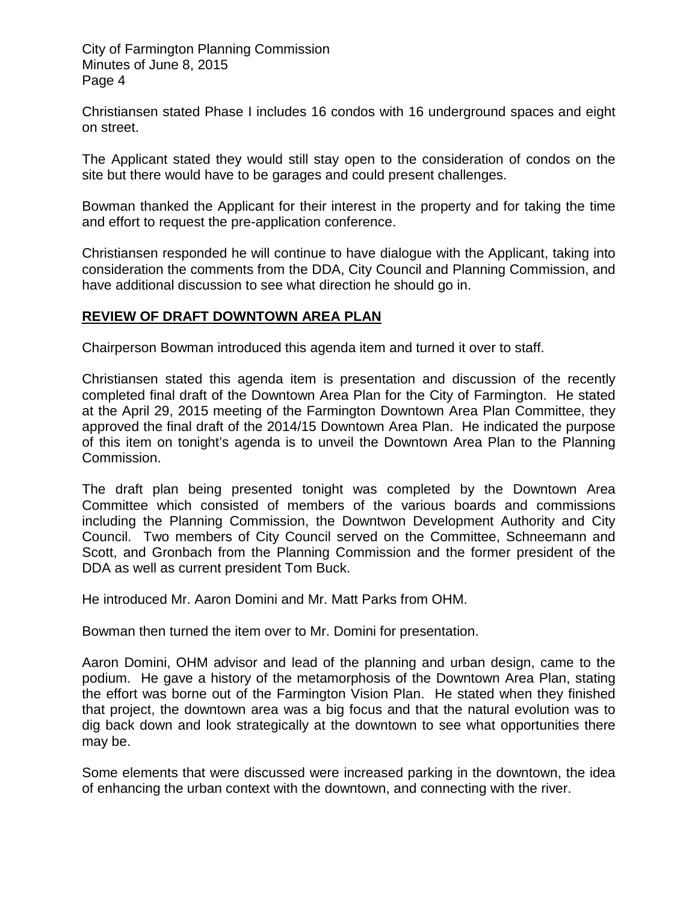Christiansen stated Phase I includes 16 condos with 16 underground spaces and eight on street.

The Applicant stated they would still stay open to the consideration of condos on the site but there would have to be garages and could present challenges.

Bowman thanked the Applicant for their interest in the property and for taking the time and effort to request the pre-application conference.

Christiansen responded he will continue to have dialogue with the Applicant, taking into consideration the comments from the DDA, City Council and Planning Commission, and have additional discussion to see what direction he should go in.

## **REVIEW OF DRAFT DOWNTOWN AREA PLAN**

Chairperson Bowman introduced this agenda item and turned it over to staff.

Christiansen stated this agenda item is presentation and discussion of the recently completed final draft of the Downtown Area Plan for the City of Farmington. He stated at the April 29, 2015 meeting of the Farmington Downtown Area Plan Committee, they approved the final draft of the 2014/15 Downtown Area Plan. He indicated the purpose of this item on tonight's agenda is to unveil the Downtown Area Plan to the Planning Commission.

The draft plan being presented tonight was completed by the Downtown Area Committee which consisted of members of the various boards and commissions including the Planning Commission, the Downtwon Development Authority and City Council. Two members of City Council served on the Committee, Schneemann and Scott, and Gronbach from the Planning Commission and the former president of the DDA as well as current president Tom Buck.

He introduced Mr. Aaron Domini and Mr. Matt Parks from OHM.

Bowman then turned the item over to Mr. Domini for presentation.

Aaron Domini, OHM advisor and lead of the planning and urban design, came to the podium. He gave a history of the metamorphosis of the Downtown Area Plan, stating the effort was borne out of the Farmington Vision Plan. He stated when they finished that project, the downtown area was a big focus and that the natural evolution was to dig back down and look strategically at the downtown to see what opportunities there may be.

Some elements that were discussed were increased parking in the downtown, the idea of enhancing the urban context with the downtown, and connecting with the river.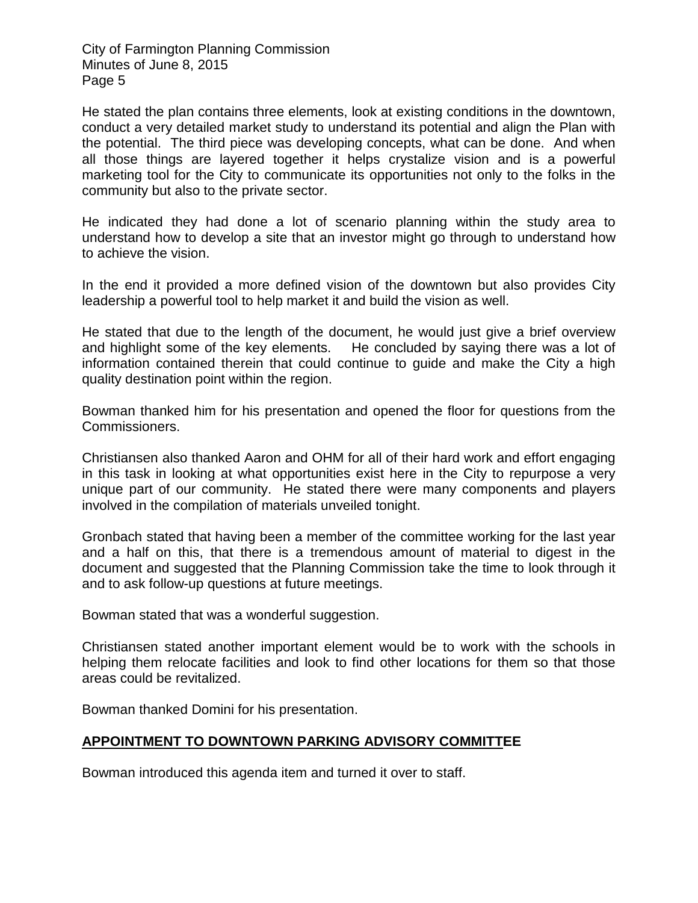He stated the plan contains three elements, look at existing conditions in the downtown, conduct a very detailed market study to understand its potential and align the Plan with the potential. The third piece was developing concepts, what can be done. And when all those things are layered together it helps crystalize vision and is a powerful marketing tool for the City to communicate its opportunities not only to the folks in the community but also to the private sector.

He indicated they had done a lot of scenario planning within the study area to understand how to develop a site that an investor might go through to understand how to achieve the vision.

In the end it provided a more defined vision of the downtown but also provides City leadership a powerful tool to help market it and build the vision as well.

He stated that due to the length of the document, he would just give a brief overview and highlight some of the key elements. He concluded by saying there was a lot of information contained therein that could continue to guide and make the City a high quality destination point within the region.

Bowman thanked him for his presentation and opened the floor for questions from the Commissioners.

Christiansen also thanked Aaron and OHM for all of their hard work and effort engaging in this task in looking at what opportunities exist here in the City to repurpose a very unique part of our community. He stated there were many components and players involved in the compilation of materials unveiled tonight.

Gronbach stated that having been a member of the committee working for the last year and a half on this, that there is a tremendous amount of material to digest in the document and suggested that the Planning Commission take the time to look through it and to ask follow-up questions at future meetings.

Bowman stated that was a wonderful suggestion.

Christiansen stated another important element would be to work with the schools in helping them relocate facilities and look to find other locations for them so that those areas could be revitalized.

Bowman thanked Domini for his presentation.

## **APPOINTMENT TO DOWNTOWN PARKING ADVISORY COMMITTEE**

Bowman introduced this agenda item and turned it over to staff.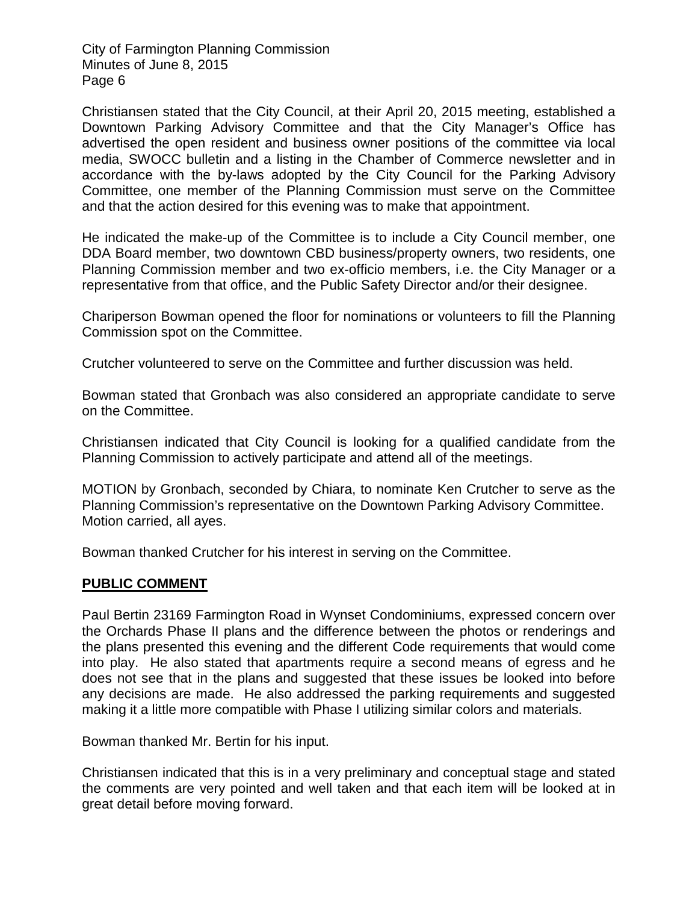Christiansen stated that the City Council, at their April 20, 2015 meeting, established a Downtown Parking Advisory Committee and that the City Manager's Office has advertised the open resident and business owner positions of the committee via local media, SWOCC bulletin and a listing in the Chamber of Commerce newsletter and in accordance with the by-laws adopted by the City Council for the Parking Advisory Committee, one member of the Planning Commission must serve on the Committee and that the action desired for this evening was to make that appointment.

He indicated the make-up of the Committee is to include a City Council member, one DDA Board member, two downtown CBD business/property owners, two residents, one Planning Commission member and two ex-officio members, i.e. the City Manager or a representative from that office, and the Public Safety Director and/or their designee.

Chariperson Bowman opened the floor for nominations or volunteers to fill the Planning Commission spot on the Committee.

Crutcher volunteered to serve on the Committee and further discussion was held.

Bowman stated that Gronbach was also considered an appropriate candidate to serve on the Committee.

Christiansen indicated that City Council is looking for a qualified candidate from the Planning Commission to actively participate and attend all of the meetings.

MOTION by Gronbach, seconded by Chiara, to nominate Ken Crutcher to serve as the Planning Commission's representative on the Downtown Parking Advisory Committee. Motion carried, all ayes.

Bowman thanked Crutcher for his interest in serving on the Committee.

## **PUBLIC COMMENT**

Paul Bertin 23169 Farmington Road in Wynset Condominiums, expressed concern over the Orchards Phase II plans and the difference between the photos or renderings and the plans presented this evening and the different Code requirements that would come into play. He also stated that apartments require a second means of egress and he does not see that in the plans and suggested that these issues be looked into before any decisions are made. He also addressed the parking requirements and suggested making it a little more compatible with Phase I utilizing similar colors and materials.

Bowman thanked Mr. Bertin for his input.

Christiansen indicated that this is in a very preliminary and conceptual stage and stated the comments are very pointed and well taken and that each item will be looked at in great detail before moving forward.